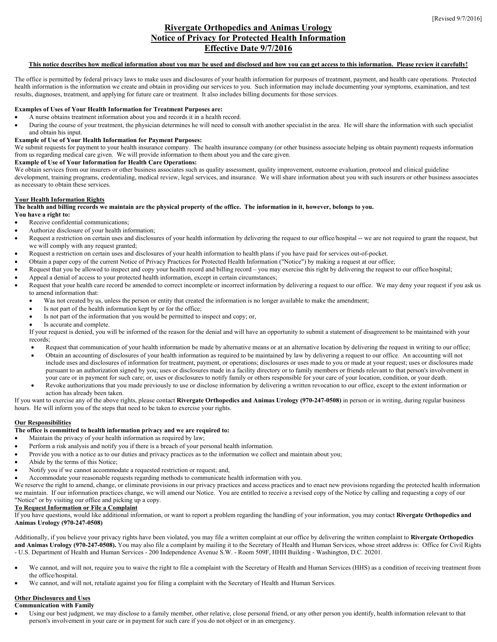# **Rivergate Orthopedics and Animas Urology Notice of Privacy for Protected Health Information Effective Date 9/7/2016**

## **This notice describes how medical information about you may be used and disclosed and how you can get access to this information. Please review it carefully!**

The office is permitted by federal privacy laws to make uses and disclosures of your health information for purposes of treatment, payment, and health care operations. Protected health information is the information we create and obtain in providing our services to you. Such information may include documenting your symptoms, examination, and test results, diagnoses, treatment, and applying for future care or treatment. It also includes billing documents for those services.

## **Examples of Uses of Your Health Information for Treatment Purposes are:**

- A nurse obtains treatment information about you and records it in a health record.
- During the course of your treatment, the physician determines he will need to consult with another specialist in the area. He will share the information with such specialist and obtain his input.

## **Example of Use of Your Health Information for Payment Purposes:**

We submit requests for payment to your health insurance company. The health insurance company (or other business associate helping us obtain payment) requests information from us regarding medical care given. We will provide information to them about you and the care given.

#### **Example of Use of Your Information for Health Care Operations:**

We obtain services from our insurers or other business associates such as quality assessment, quality improvement, outcome evaluation, protocol and clinical guideline development, training programs, credentialing, medical review, legal services, and insurance. We will share information about you with such insurers or other business associates as necessary to obtain these services.

## **Your Health Information Rights**

**The health and billing records we maintain are the physical property of the office. The information in it, however, belongs to you.** 

## **You have a right to:**

- Receive confidential communications;
- Authorize disclosure of your health information;
- Request a restriction on certain uses and disclosures of your health information by delivering the request to our office/hospital -- we are not required to grant the request, but we will comply with any request granted;
- Request a restriction on certain uses and disclosures of your health information to health plans if you have paid for services out-of-pocket.
	- Obtain a paper copy of the current Notice of Privacy Practices for Protected Health Information ("Notice") by making a request at our office;
- Request that you be allowed to inspect and copy your health record and billing record you may exercise this right by delivering the request to our office/hospital;
- Appeal a denial of access to your protected health information, except in certain circumstances;
- Request that your health care record be amended to correct incomplete or incorrect information by delivering a request to our office. We may deny your request if you ask us to amend information that:
	- Was not created by us, unless the person or entity that created the information is no longer available to make the amendment;
	- Is not part of the health information kept by or for the office;
	- Is not part of the information that you would be permitted to inspect and copy; or,
	- Is accurate and complete.

If your request is denied, you will be informed of the reason for the denial and will have an opportunity to submit a statement of disagreement to be maintained with your records;

- Request that communication of your health information be made by alternative means or at an alternative location by delivering the request in writing to our office;
- Obtain an accounting of disclosures of your health information as required to be maintained by law by delivering a request to our office. An accounting will not include uses and disclosures of information for treatment, payment, or operations; disclosures or uses made to you or made at your request; uses or disclosures made pursuant to an authorization signed by you; uses or disclosures made in a facility directory or to family members or friends relevant to that person's involvement in your care or in payment for such care; or, uses or disclosures to notify family or others responsible for your care of your location, condition, or your death.
- Revoke authorizations that you made previously to use or disclose information by delivering a written revocation to our office, except to the extent information or action has already been taken.

If you want to exercise any of the above rights, please contact **Rivergate Orthopedics and Animas Urology (970-247-0508)** in person or in writing, during regular business hours. He will inform you of the steps that need to be taken to exercise your rights.

## **Our Responsibilities**

## **The office is committed to health information privacy and we are required to:**

- Maintain the privacy of your health information as required by law;
- Perform a risk analysis and notify you if there is a breach of your personal health information.
- Provide you with a notice as to our duties and privacy practices as to the information we collect and maintain about you;
- Abide by the terms of this Notice;
- Notify you if we cannot accommodate a requested restriction or request; and,
- Accommodate your reasonable requests regarding methods to communicate health information with you.

We reserve the right to amend, change, or eliminate provisions in our privacy practices and access practices and to enact new provisions regarding the protected health information we maintain. If our information practices change, we will amend our Notice. You are entitled to receive a revised copy of the Notice by calling and requesting a copy of our "Notice" or by visiting our office and picking up a copy.

## **To Request Information or File a Complaint**

If you have questions, would like additional information, or want to report a problem regarding the handling of your information, you may contact **Rivergate Orthopedics and Animas Urology (970-247-0508)**

Additionally, if you believe your privacy rights have been violated, you may file a written complaint at our office by delivering the written complaint to **Rivergate Orthopedics**  and Animas Urology (970-247-0508). You may also file a complaint by mailing it to the Secretary of Health and Human Services, whose street address is: Office for Civil Rights - U.S. Department of Health and Human Services - 200 Independence Avenue S.W. - Room 509F, HHH Building - Washington, D.C. 20201.

- We cannot, and will not, require you to waive the right to file a complaint with the Secretary of Health and Human Services (HHS) as a condition of receiving treatment from the office/hospital.
- We cannot, and will not, retaliate against you for filing a complaint with the Secretary of Health and Human Services.

## **Other Disclosures and Uses**

**Communication with Family**

• Using our best judgment, we may disclose to a family member, other relative, close personal friend, or any other person you identify, health information relevant to that person's involvement in your care or in payment for such care if you do not object or in an emergency.